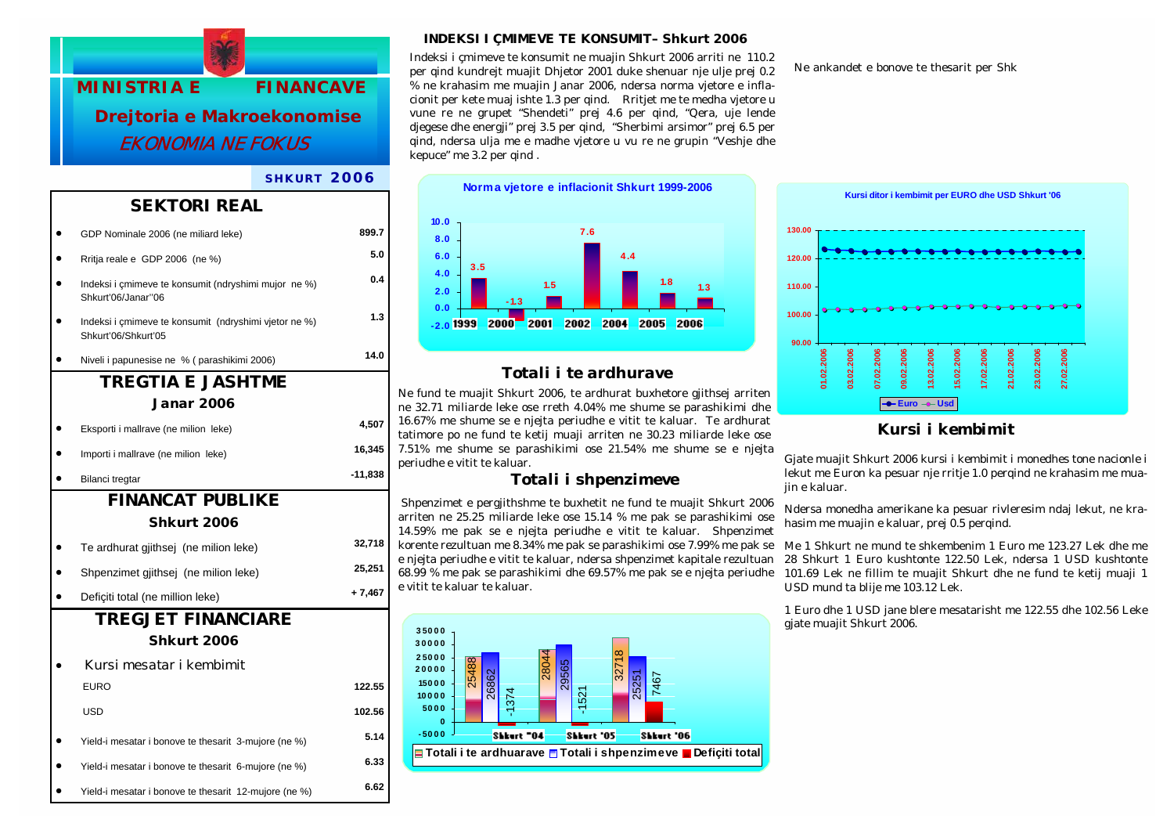#### *INDEKSI I ÇMIMEVE TE KONSUMIT– Shkurt 2006*

% ne krahasim me muajin Janar 2006, ndersa norma vjetore e inflacionit per kete muaj ishte 1.3 per qind. Rritjet me te medha vjetore u vune re ne grupet "Shendeti" prej 4.6 per qind, "Qera, uje lende djegese dhe energji" prej 3.5 per qind, "Sherbimi arsimor" prej 6.5 per qind, ndersa ulja me e madhe vjetore u vu re ne grupin "Veshje dhe

Indeksi i çmimeve te konsumit ne muajin Shkurt 2006 arriti ne 110.2 7T25 1 Tf0105.02 105.02039846.569 5705.Tm0.0031.Tc09.Tw0008.003Fi7T25 1.Tf0.7.98 c798 0398.40\&ZhKQhdEm0.00h0vEct0.01&Zhrt[perb9hk00,thrsdttpe7matk)07801254t  $b_0$  = 07801254(ii)<sup>-78</sup>(m 3-e)07(m(u) 5.for, 9 5.4<sup>i</sup>)

**MINISTRIA E FINANCAVE Drejtoria e Makroekonomise**  EKONOMIA NE FOKUSERROV NUNISTRIA E<br>
FINANCAVE SUBARGE ACCORDING EXECUTION CONFIDENT 2006 artiting 110.2<br>
MINISTRIA E FINANCAVE was applied to the supplement to multiple and the supplement of the separation of the separation of the separati

### *SHKURT 2006*

kepuce" me 3.2 per qind .

• Yield-i mesatar i bonove te thesarit 6-mujore (ne %) **6.33**  • Yield-i mesatar i bonove te thesarit 12-mujore (ne %) **6.62** 

**Norma vjetore e inflacionit Shkurt 1999-2006 3.51.8 1.34.47.61.5-1.3-2.00.02.04.06.08.010.0**

### *Totali i te ardhurave*

Ne fund te muajit Shkurt 2006, te ardhurat buxhetore gjithsej arriten ne 32.71 miliarde leke ose rreth 4.04% me shume se parashikimi dhe 16.67% me shume se e njejta periudhe e vitit te kaluar. Te ardhurat tatimore po ne fund te ketij muaji arriten ne 30.23 miliarde leke ose 7.51% me shume se parashikimi ose 21.54% me shume se e njejta periudhe e vitit te kaluar.

### *Totali i shpenzimeve*

 Shpenzimet e pergjithshme te buxhetit ne fund te muajit Shkurt 2006 arriten ne 25.25 miliarde leke ose 15.14 % me pak se parashikimi ose 14.59% me pak se e njejta periudhe e vitit te kaluar. Shpenzimet korente rezultuan me 8.34% me pak se parashikimi ose 7.99% me pak se e njejta periudhe e vitit te kaluar, ndersa shpenzimet kapitale rezultuan 68.99 % me pak se parashikimi dhe 69.57% me pak se e njejta periudhe e vitit te kaluar te kaluar.





## *Kursi i kembimit*

Gjate muajit Shkurt 2006 kursi i kembimit i monedhes tone nacionle i lekut me Euron ka pesuar nje rritje 1.0 perqind ne krahasim me muajin e kaluar.

Ndersa monedha amerikane ka pesuar rivleresim ndaj lekut, ne krahasim me muajin e kaluar, prej 0.5 perqind.

Me 1 Shkurt ne mund te shkembenim 1 Euro me 123.27 Lek dhe me 28 Shkurt 1 Euro kushtonte 122.50 Lek, ndersa 1 USD kushtonte 101.69 Lek ne fillim te muajit Shkurt dhe ne fund te ketij muaji 1 USD mund ta blije me 103.12 Lek.

1 Euro dhe 1 USD jane blere mesatarisht me 122.55 dhe 102.56 Leke gjate muajit Shkurt 2006.